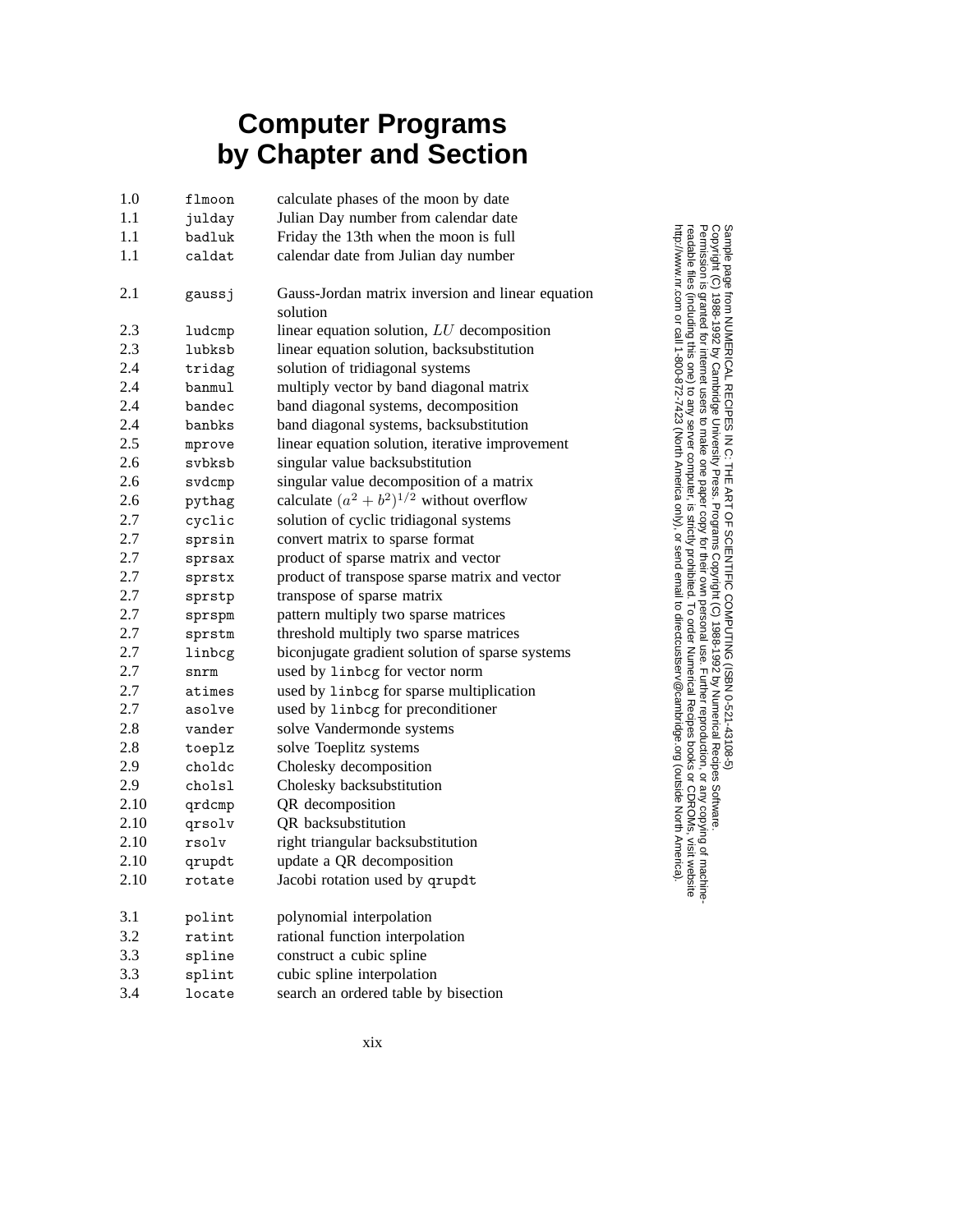## **Computer Programs by Chapter and Section**

| 1.0  | flmoon | calculate phases of the moon by date                          |
|------|--------|---------------------------------------------------------------|
| 1.1  | julday | Julian Day number from calendar date                          |
| 1.1  | badluk | Friday the 13th when the moon is full                         |
| 1.1  | caldat | calendar date from Julian day number                          |
| 2.1  | gaussj | Gauss-Jordan matrix inversion and linear equation<br>solution |
| 2.3  | ludcmp | linear equation solution, LU decomposition                    |
| 2.3  | lubksb | linear equation solution, backsubstitution                    |
| 2.4  | tridag | solution of tridiagonal systems                               |
| 2.4  | banmul | multiply vector by band diagonal matrix                       |
| 2.4  | bandec | band diagonal systems, decomposition                          |
| 2.4  | banbks | band diagonal systems, backsubstitution                       |
| 2.5  | mprove | linear equation solution, iterative improvement               |
| 2.6  | svbksb | singular value backsubstitution                               |
| 2.6  | svdcmp | singular value decomposition of a matrix                      |
| 2.6  | pythag | calculate $(a^2 + b^2)^{1/2}$ without overflow                |
| 2.7  | cyclic | solution of cyclic tridiagonal systems                        |
| 2.7  | sprsin | convert matrix to sparse format                               |
| 2.7  | sprsax | product of sparse matrix and vector                           |
| 2.7  | sprstx | product of transpose sparse matrix and vector                 |
| 2.7  | sprstp | transpose of sparse matrix                                    |
| 2.7  | sprspm | pattern multiply two sparse matrices                          |
| 2.7  | sprstm | threshold multiply two sparse matrices                        |
| 2.7  | linbcg | biconjugate gradient solution of sparse systems               |
| 2.7  | snrm   | used by linbcg for vector norm                                |
| 2.7  | atimes | used by linbcg for sparse multiplication                      |
| 2.7  | asolve | used by linbcg for preconditioner                             |
| 2.8  | vander | solve Vandermonde systems                                     |
| 2.8  | toeplz | solve Toeplitz systems                                        |
| 2.9  | choldc | Cholesky decomposition                                        |
| 2.9  | cholsl | Cholesky backsubstitution                                     |
| 2.10 | qrdcmp | QR decomposition                                              |
| 2.10 | qrsolv | QR backsubstitution                                           |
| 2.10 | rsolv  | right triangular backsubstitution                             |
| 2.10 | qrupdt | update a QR decomposition                                     |
| 2.10 | rotate | Jacobi rotation used by qrupdt                                |
| 3.1  | polint | polynomial interpolation                                      |
| 3.2  | ratint | rational function interpolation                               |
| 3.3  | spline | construct a cubic spline                                      |
| 3.3  | splint | cubic spline interpolation                                    |
| 3.4  | locate | search an ordered table by bisection                          |

Permission is granted for internet users to make one paper copy for their own personal use. Further reproduction, or any copyin Copyright (C) 1988-1992 by Cambridge University Press.Programs Copyright (C) 1988-1992 by Numerical Recipes Software. Sample page from NUMERICAL RECIPES IN C: THE ART OF SCIENTIFIC COMPUTING (ISBN 0-521-43108-5) g of machinereadable files (including this one) to any servercomputer, is strictly prohibited. To order Numerical Recipes booksor CDROMs, visit website http://www.nr.com or call 1-800-872-7423 (North America only),or send email to directcustserv@cambridge.org (outside North America).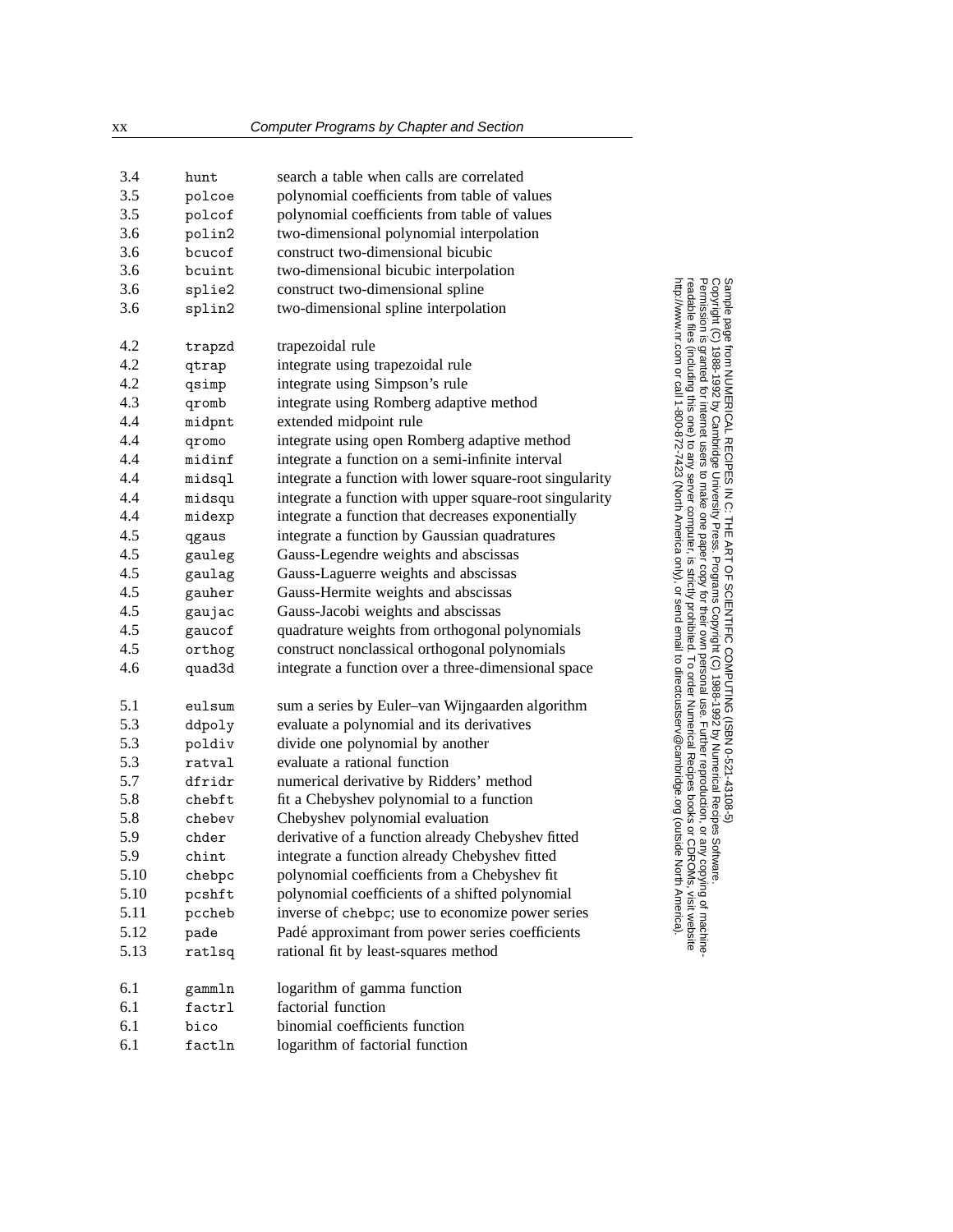| 3.4  | hunt   | search a table when calls are correlated                |
|------|--------|---------------------------------------------------------|
| 3.5  | polcoe | polynomial coefficients from table of values            |
| 3.5  | polcof | polynomial coefficients from table of values            |
| 3.6  | polin2 | two-dimensional polynomial interpolation                |
| 3.6  | bcucof | construct two-dimensional bicubic                       |
| 3.6  | bcuint | two-dimensional bicubic interpolation                   |
| 3.6  | splie2 | construct two-dimensional spline                        |
| 3.6  | splin2 | two-dimensional spline interpolation                    |
|      |        |                                                         |
| 4.2  | trapzd | trapezoidal rule                                        |
| 4.2  | qtrap  | integrate using trapezoidal rule                        |
| 4.2  | qsimp  | integrate using Simpson's rule                          |
| 4.3  | qromb  | integrate using Romberg adaptive method                 |
| 4.4  | midpnt | extended midpoint rule                                  |
| 4.4  | qromo  | integrate using open Romberg adaptive method            |
| 4.4  | midinf | integrate a function on a semi-infinite interval        |
| 4.4  | midsql | integrate a function with lower square-root singularity |
| 4.4  | midsqu | integrate a function with upper square-root singularity |
| 4.4  | midexp | integrate a function that decreases exponentially       |
| 4.5  | qgaus  | integrate a function by Gaussian quadratures            |
| 4.5  | gauleg | Gauss-Legendre weights and abscissas                    |
| 4.5  | gaulag | Gauss-Laguerre weights and abscissas                    |
| 4.5  | gauher | Gauss-Hermite weights and abscissas                     |
| 4.5  | gaujac | Gauss-Jacobi weights and abscissas                      |
| 4.5  | gaucof | quadrature weights from orthogonal polynomials          |
| 4.5  | orthog | construct nonclassical orthogonal polynomials           |
| 4.6  | quad3d | integrate a function over a three-dimensional space     |
|      |        |                                                         |
| 5.1  | eulsum | sum a series by Euler-van Wijngaarden algorithm         |
| 5.3  | ddpoly | evaluate a polynomial and its derivatives               |
| 5.3  | poldiv | divide one polynomial by another                        |
| 5.3  | ratval | evaluate a rational function                            |
| 5.7  | dfridr | numerical derivative by Ridders' method                 |
| 5.8  | chebft | fit a Chebyshev polynomial to a function                |
| 5.8  | chebev | Chebyshev polynomial evaluation                         |
| 5.9  | chder  | derivative of a function already Chebyshev fitted       |
| 5.9  | chint  | integrate a function already Chebyshev fitted           |
| 5.10 | chebpc | polynomial coefficients from a Chebyshev fit            |
| 5.10 | pcshft | polynomial coefficients of a shifted polynomial         |
| 5.11 | pccheb | inverse of chebpc; use to economize power series        |
| 5.12 | pade   | Padé approximant from power series coefficients         |
| 5.13 | ratlsq | rational fit by least-squares method                    |
|      |        |                                                         |
| 6.1  | gammln | logarithm of gamma function                             |
| 6.1  | factrl | factorial function                                      |
| 6.1  | bico   | binomial coefficients function                          |
| 6.1  | factln | logarithm of factorial function                         |

Permission is granted for internet users to make one paper copy for their own personal use. Further reproduction, or any copyin Copyright (C) 1988-1992 by Cambridge University Press.Programs Copyright (C) 1988-1992 by Numerical Recipes Software. Sample page from NUMERICAL RECIPES IN C: THE ART OF SCIENTIFIC COMPUTING (ISBN 0-521-43108-5) g of machinereadable files (including this one) to any servercomputer, is strictly prohibited. To order Numerical Recipes booksor CDROMs, visit website http://www.nr.com or call 1-800-872-7423 (North America only),or send email to directcustserv@cambridge.org (outside North America).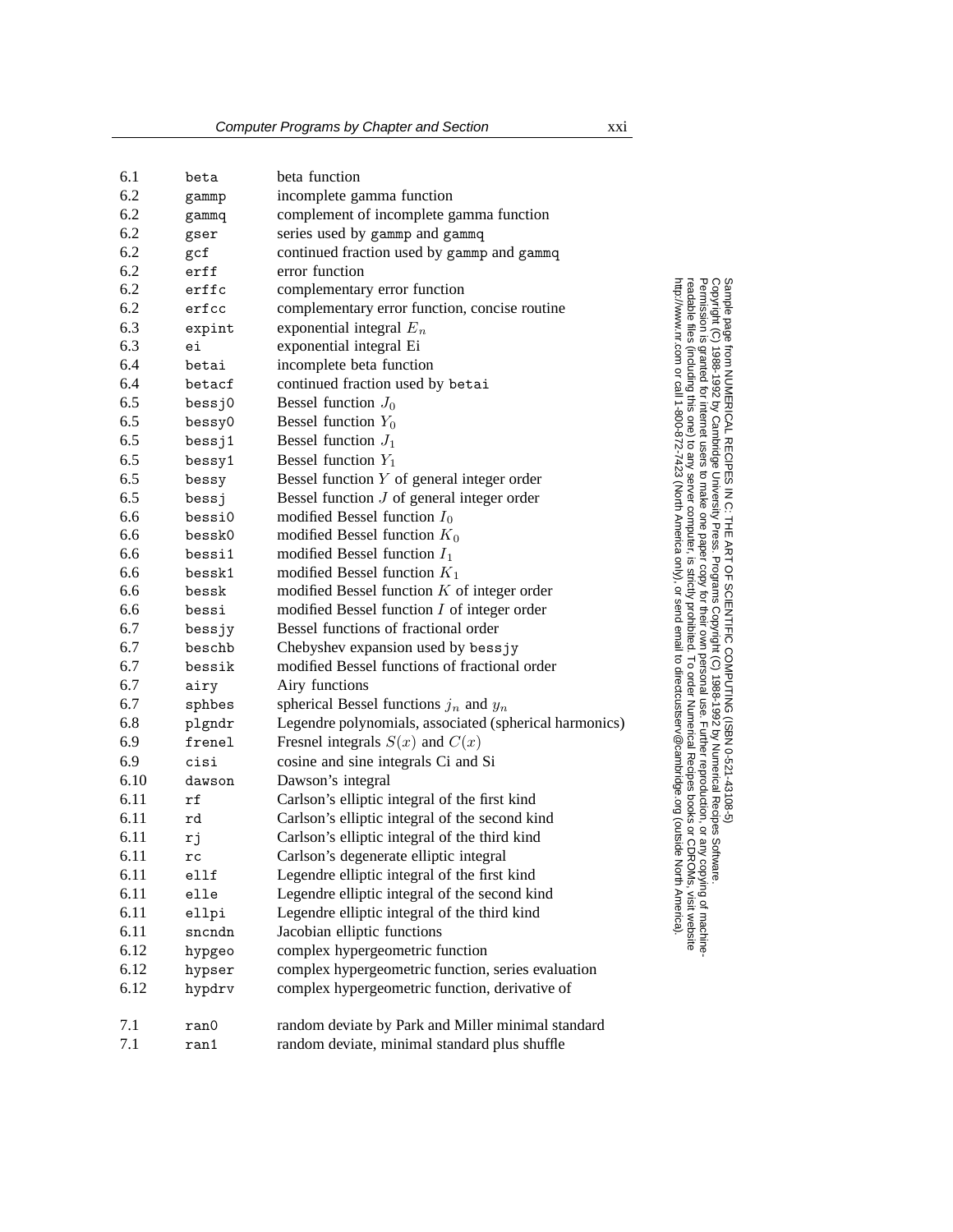| 6.1  | beta   | beta function                                          |
|------|--------|--------------------------------------------------------|
| 6.2  | gammp  | incomplete gamma function                              |
| 6.2  | gammq  | complement of incomplete gamma function                |
| 6.2  | gser   | series used by gammp and gammq                         |
| 6.2  | gcf    | continued fraction used by gammp and gammq             |
| 6.2  | erff   | error function                                         |
| 6.2  | erffc  | complementary error function                           |
| 6.2  | erfcc  | complementary error function, concise routine          |
| 6.3  | expint | exponential integral $E_n$                             |
| 6.3  | ei     | exponential integral Ei                                |
| 6.4  | betai  | incomplete beta function                               |
| 6.4  | betacf | continued fraction used by betai                       |
| 6.5  | bessj0 | Bessel function $J_0$                                  |
| 6.5  | bessy0 | Bessel function $Y_0$                                  |
| 6.5  | besg1  | Bessel function $J_1$                                  |
| 6.5  | bessy1 | Bessel function $Y_1$                                  |
| 6.5  | bessy  | Bessel function $Y$ of general integer order           |
| 6.5  | bessj  | Bessel function $J$ of general integer order           |
| 6.6  | bessi0 | modified Bessel function $I_0$                         |
| 6.6  | bessk0 | modified Bessel function $K_0$                         |
| 6.6  | bessi1 | modified Bessel function $I_1$                         |
| 6.6  | bessk1 | modified Bessel function $K_1$                         |
| 6.6  | bessk  | modified Bessel function $K$ of integer order          |
| 6.6  | bessi  | modified Bessel function $I$ of integer order          |
| 6.7  | bessjy | Bessel functions of fractional order                   |
| 6.7  | beschb | Chebyshev expansion used by bessjy                     |
| 6.7  | bessik | modified Bessel functions of fractional order          |
| 6.7  | airy   | Airy functions                                         |
| 6.7  | sphbes | spherical Bessel functions $j_n$ and $y_n$             |
| 6.8  | plgndr | Legendre polynomials, associated (spherical harmonics) |
| 6.9  | frenel | Fresnel integrals $S(x)$ and $C(x)$                    |
| 6.9  | cisi   | cosine and sine integrals Ci and Si                    |
| 6.10 | dawson | Dawson's integral                                      |
| 6.11 | rf     | Carlson's elliptic integral of the first kind          |
| 6.11 | rd     | Carlson's elliptic integral of the second kind         |
| 6.11 | rj     | Carlson's elliptic integral of the third kind          |
| 6.11 | rc     | Carlson's degenerate elliptic integral                 |
| 6.11 | ellf   | Legendre elliptic integral of the first kind           |
| 6.11 | elle   | Legendre elliptic integral of the second kind          |
| 6.11 | ellpi  | Legendre elliptic integral of the third kind           |
| 6.11 | sncndn | Jacobian elliptic functions                            |
| 6.12 | hypgeo | complex hypergeometric function                        |
| 6.12 | hypser | complex hypergeometric function, series evaluation     |
| 6.12 | hypdrv | complex hypergeometric function, derivative of         |
|      |        |                                                        |
| 7.1  | ran0   | random deviate by Park and Miller minimal standard     |
| 7.1  | ran1   | random deviate, minimal standard plus shuffle          |
|      |        |                                                        |

computer, is strictly prohibited. To order Numerical Recipes books

or send email to directcustserv@cambridge.org (outside North America).

Sample page from NUMERICAL RECIPES IN C: THE ART OF SCIENTIFIC COMPUTING (ISBN 0-521-43108-5)

Programs Copyright (C) 1988-1992 by Numerical Recipes Software.

g of machine-

or CDROMs, visit website

Copyright (C) 1988-1992 by Cambridge University Press.

readable files (including this one) to any server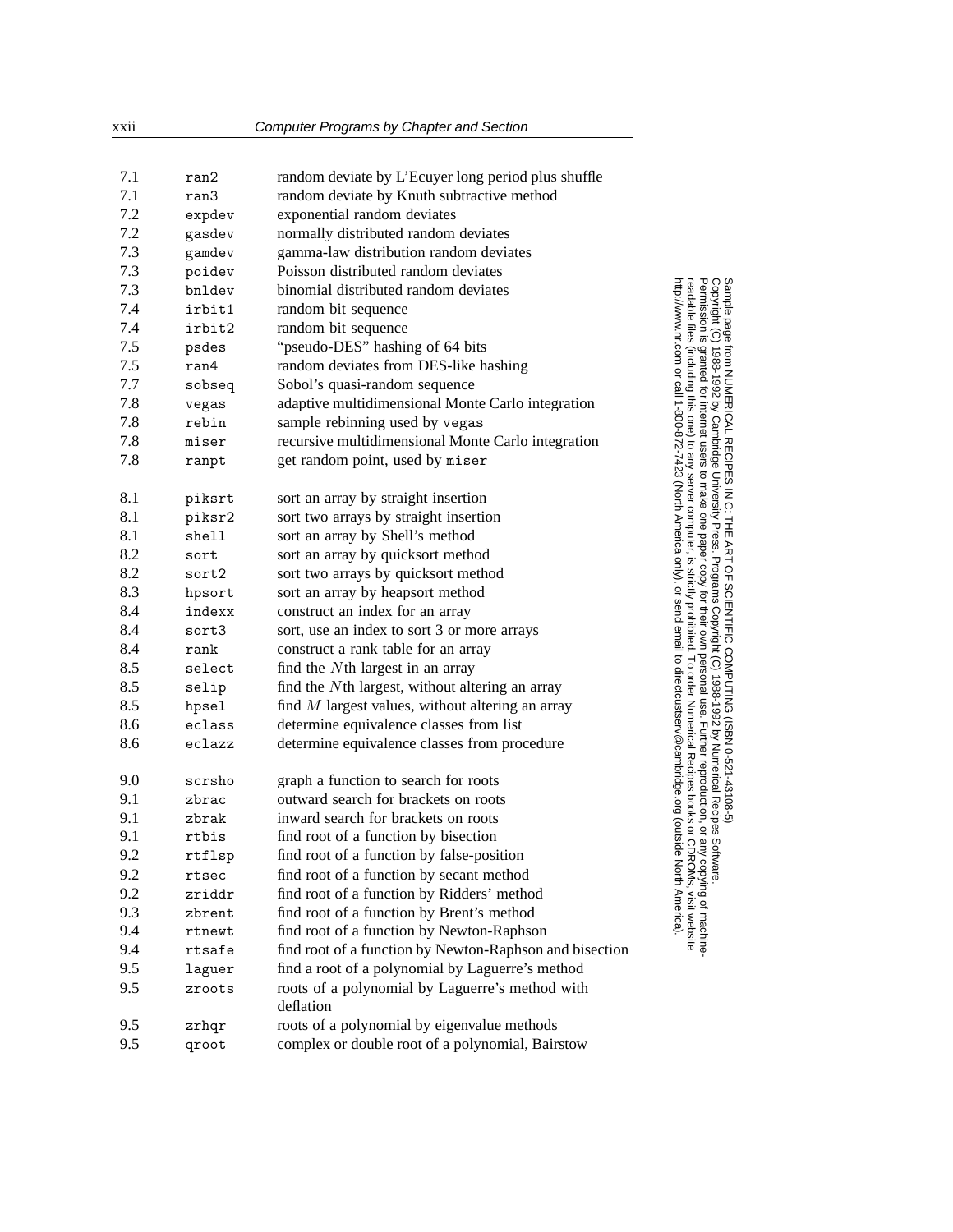| 7.1 | ran2   | random deviate by L'Ecuyer long period plus shuffle     |
|-----|--------|---------------------------------------------------------|
| 7.1 | ran3   | random deviate by Knuth subtractive method              |
| 7.2 | expdev | exponential random deviates                             |
| 7.2 | gasdev | normally distributed random deviates                    |
| 7.3 | gamdev | gamma-law distribution random deviates                  |
| 7.3 | poidev | Poisson distributed random deviates                     |
| 7.3 | bnldev | binomial distributed random deviates                    |
| 7.4 | irbit1 | random bit sequence                                     |
| 7.4 | irbit2 | random bit sequence                                     |
| 7.5 | psdes  | "pseudo-DES" hashing of 64 bits                         |
| 7.5 | ran4   | random deviates from DES-like hashing                   |
| 7.7 | sobseq | Sobol's quasi-random sequence                           |
| 7.8 | vegas  | adaptive multidimensional Monte Carlo integration       |
| 7.8 | rebin  | sample rebinning used by vegas                          |
| 7.8 | miser  | recursive multidimensional Monte Carlo integration      |
| 7.8 | ranpt  | get random point, used by miser                         |
|     |        |                                                         |
| 8.1 | piksrt | sort an array by straight insertion                     |
| 8.1 | piksr2 | sort two arrays by straight insertion                   |
| 8.1 | shell  | sort an array by Shell's method                         |
| 8.2 | sort   | sort an array by quicksort method                       |
| 8.2 | sort2  | sort two arrays by quicksort method                     |
| 8.3 | hpsort | sort an array by heapsort method                        |
| 8.4 | indexx | construct an index for an array                         |
| 8.4 | sort3  | sort, use an index to sort 3 or more arrays             |
| 8.4 | rank   | construct a rank table for an array                     |
| 8.5 | select | find the <i>N</i> th largest in an array                |
| 8.5 | selip  | find the Nth largest, without altering an array         |
| 8.5 | hpsel  | find $M$ largest values, without altering an array      |
| 8.6 | eclass | determine equivalence classes from list                 |
| 8.6 | eclazz | determine equivalence classes from procedure            |
|     |        |                                                         |
| 9.0 | scrsho | graph a function to search for roots                    |
| 9.1 | zbrac  | outward search for brackets on roots                    |
| 9.1 | zbrak  | inward search for brackets on roots                     |
| 9.1 | rtbis  | find root of a function by bisection                    |
| 9.2 | rtflsp | find root of a function by false-position               |
| 9.2 | rtsec  | find root of a function by secant method                |
| 9.2 | zriddr | find root of a function by Ridders' method              |
| 9.3 | zbrent | find root of a function by Brent's method               |
| 9.4 | rtnewt | find root of a function by Newton-Raphson               |
| 9.4 | rtsafe | find root of a function by Newton-Raphson and bisection |
| 9.5 | laguer | find a root of a polynomial by Laguerre's method        |
| 9.5 | zroots | roots of a polynomial by Laguerre's method with         |
|     |        | deflation                                               |
| 9.5 | zrhqr  | roots of a polynomial by eigenvalue methods             |
| 9.5 | qroot  | complex or double root of a polynomial, Bairstow        |

computer, is strictly prohibited. To order Numerical Recipes books

or send email to directcustserv@cambridge.org (outside North America).

Sample page from NUMERICAL RECIPES IN C: THE ART OF SCIENTIFIC COMPUTING (ISBN 0-521-43108-5)

Programs Copyright (C) 1988-1992 by Numerical Recipes Software.

g of machine-

or CDROMs, visit website

Copyright (C) 1988-1992 by Cambridge University Press.

readable files (including this one) to any server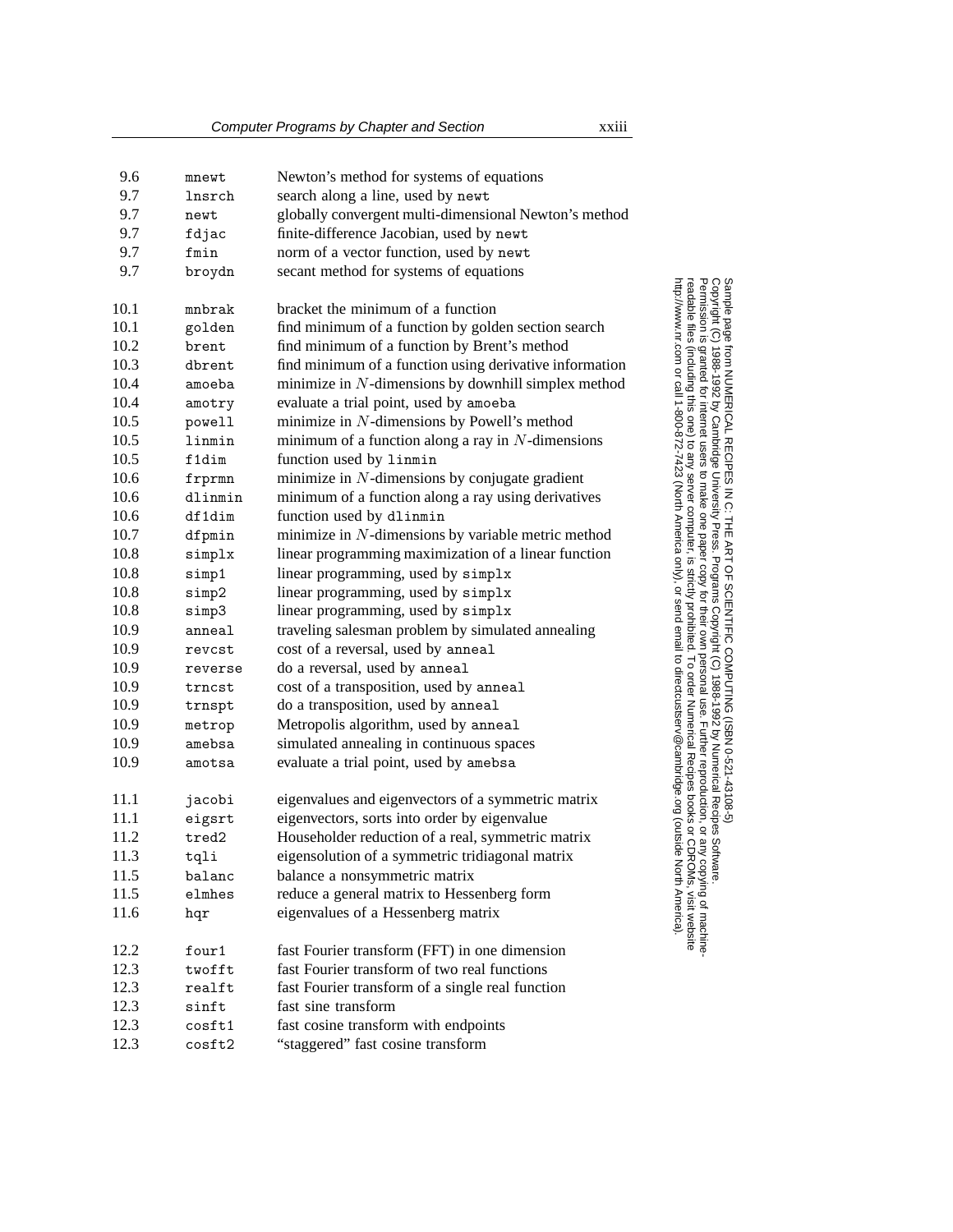| 9.6  | mnewt           | Newton's method for systems of equations                |
|------|-----------------|---------------------------------------------------------|
| 9.7  | lnsrch          | search along a line, used by newt                       |
| 9.7  | newt            | globally convergent multi-dimensional Newton's method   |
| 9.7  | fdjac           | finite-difference Jacobian, used by newt                |
| 9.7  | fmin            | norm of a vector function, used by newt                 |
| 9.7  | broydn          | secant method for systems of equations                  |
|      |                 |                                                         |
| 10.1 | mnbrak          | bracket the minimum of a function                       |
| 10.1 | golden          | find minimum of a function by golden section search     |
| 10.2 | brent           | find minimum of a function by Brent's method            |
| 10.3 | dbrent          | find minimum of a function using derivative information |
| 10.4 | amoeba          | minimize in $N$ -dimensions by downhill simplex method  |
| 10.4 | amotry          | evaluate a trial point, used by amoeba                  |
| 10.5 | powell          | minimize in $N$ -dimensions by Powell's method          |
| 10.5 | linmin          | minimum of a function along a ray in $N$ -dimensions    |
| 10.5 | f1dim           | function used by linmin                                 |
| 10.6 | frprmn          | minimize in $N$ -dimensions by conjugate gradient       |
| 10.6 | dlinmin         | minimum of a function along a ray using derivatives     |
| 10.6 | df1dim          | function used by dlinmin                                |
| 10.7 | dfpmin          | minimize in $N$ -dimensions by variable metric method   |
| 10.8 | simplx          | linear programming maximization of a linear function    |
| 10.8 | simp1           | linear programming, used by simplx                      |
| 10.8 | simp2           | linear programming, used by simplx                      |
| 10.8 | simp3           | linear programming, used by simplx                      |
| 10.9 | anneal          | traveling salesman problem by simulated annealing       |
| 10.9 | revcst          | cost of a reversal, used by anneal                      |
| 10.9 | reverse         | do a reversal, used by anneal                           |
| 10.9 | trncst          | cost of a transposition, used by anneal                 |
| 10.9 | trnspt          | do a transposition, used by anneal                      |
| 10.9 | metrop          | Metropolis algorithm, used by anneal                    |
| 10.9 | amebsa          | simulated annealing in continuous spaces                |
| 10.9 | amotsa          | evaluate a trial point, used by amebsa                  |
|      |                 |                                                         |
| 11.1 | jacobi          | eigenvalues and eigenvectors of a symmetric matrix      |
| 11.1 | eigsrt          | eigenvectors, sorts into order by eigenvalue            |
| 11.2 | tred2           | Householder reduction of a real, symmetric matrix       |
| 11.3 | tqli            | eigensolution of a symmetric tridiagonal matrix         |
| 11.5 | balanc          | balance a nonsymmetric matrix                           |
| 11.5 | elmhes          | reduce a general matrix to Hessenberg form              |
| 11.6 | hqr             | eigenvalues of a Hessenberg matrix                      |
| 12.2 | four1           | fast Fourier transform (FFT) in one dimension           |
| 12.3 | twofft          | fast Fourier transform of two real functions            |
| 12.3 | $\verb realft $ | fast Fourier transform of a single real function        |
| 12.3 | sinft           | fast sine transform                                     |
| 12.3 | costt1          | fast cosine transform with endpoints                    |
| 12.3 | costt2          | "staggered" fast cosine transform                       |
|      |                 |                                                         |

computer, is strictly prohibited. To order Numerical Recipes books

or send email to directcustserv@cambridge.org (outside North America).

Sample page from NUMERICAL RECIPES IN C: THE ART OF SCIENTIFIC COMPUTING (ISBN 0-521-43108-5)

Programs Copyright (C) 1988-1992 by Numerical Recipes Software.

g of machine-

or CDROMs, visit website

Copyright (C) 1988-1992 by Cambridge University Press.

readable files (including this one) to any server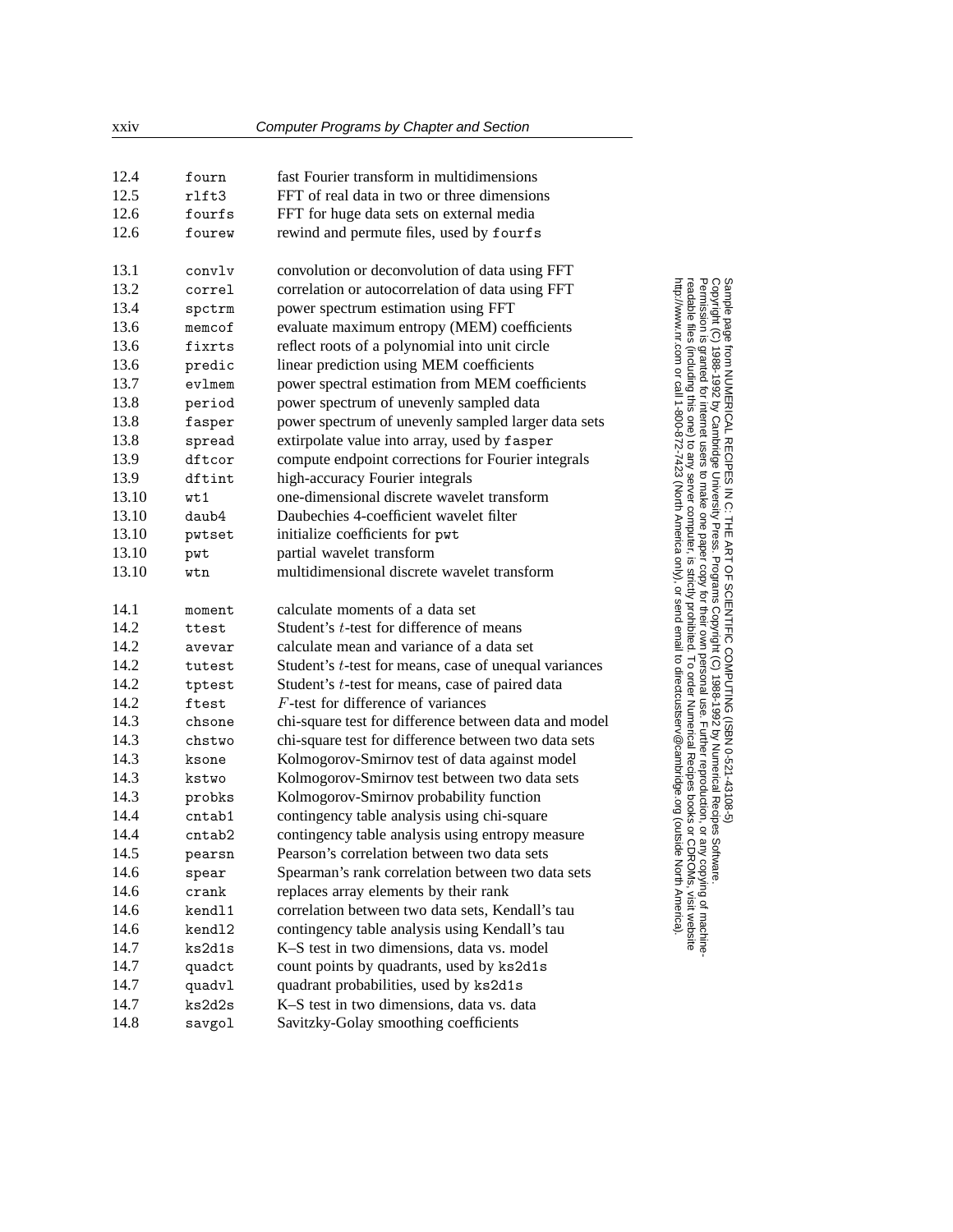| 12.4  | fourn  | fast Fourier transform in multidimensions             |
|-------|--------|-------------------------------------------------------|
| 12.5  | rlft3  | FFT of real data in two or three dimensions           |
| 12.6  | fourfs | FFT for huge data sets on external media              |
| 12.6  | fourew | rewind and permute files, used by fourfs              |
| 13.1  | convly | convolution or deconvolution of data using FFT        |
| 13.2  | correl | correlation or autocorrelation of data using FFT      |
| 13.4  | spctrm | power spectrum estimation using FFT                   |
| 13.6  | memcof | evaluate maximum entropy (MEM) coefficients           |
| 13.6  | fixrts | reflect roots of a polynomial into unit circle        |
| 13.6  | predic | linear prediction using MEM coefficients              |
| 13.7  | evlmem | power spectral estimation from MEM coefficients       |
| 13.8  | period | power spectrum of unevenly sampled data               |
| 13.8  | fasper | power spectrum of unevenly sampled larger data sets   |
| 13.8  | spread | extirpolate value into array, used by fasper          |
| 13.9  | dftcor | compute endpoint corrections for Fourier integrals    |
| 13.9  | dftint | high-accuracy Fourier integrals                       |
| 13.10 | wt1    | one-dimensional discrete wavelet transform            |
| 13.10 | daub4  | Daubechies 4-coefficient wavelet filter               |
| 13.10 | pwtset | initialize coefficients for pwt                       |
| 13.10 | pwt    | partial wavelet transform                             |
| 13.10 | wtn    | multidimensional discrete wavelet transform           |
| 14.1  | moment | calculate moments of a data set                       |
| 14.2  | ttest  | Student's t-test for difference of means              |
| 14.2  | avevar | calculate mean and variance of a data set             |
| 14.2  | tutest | Student's t-test for means, case of unequal variances |
| 14.2  | tptest | Student's t-test for means, case of paired data       |
| 14.2  | ftest  | F-test for difference of variances                    |
| 14.3  | chsone | chi-square test for difference between data and model |
| 14.3  | chstwo | chi-square test for difference between two data sets  |
| 14.3  | ksone  | Kolmogorov-Smirnov test of data against model         |
| 14.3  | kstwo  | Kolmogorov-Smirnov test between two data sets         |
| 14.3  | probks | Kolmogorov-Smirnov probability function               |
| 14.4  | cntab1 | contingency table analysis using chi-square           |
| 14.4  | cntab2 | contingency table analysis using entropy measure      |
| 14.5  | pearsn | Pearson's correlation between two data sets           |
| 14.6  | spear  | Spearman's rank correlation between two data sets     |
| 14.6  | crank  | replaces array elements by their rank                 |
| 14.6  | kend11 | correlation between two data sets, Kendall's tau      |
| 14.6  | kend12 | contingency table analysis using Kendall's tau        |
| 14.7  | ks2d1s | K-S test in two dimensions, data vs. model            |
| 14.7  | quadct | count points by quadrants, used by ks2d1s             |
| 14.7  | quadvl | quadrant probabilities, used by ks2d1s                |
| 14.7  | ks2d2s | K-S test in two dimensions, data vs. data             |
| 14.8  | savgol | Savitzky-Golay smoothing coefficients                 |
|       |        |                                                       |

Permission is granted for internet users to make one paper copy for their own personal use. Further reproduction, or any copyin Copyright (C) 1988-1992 by Cambridge University Press.Programs Copyright (C) 1988-1992 by Numerical Recipes Software. Sample page from NUMERICAL RECIPES IN C: THE ART OF SCIENTIFIC COMPUTING (ISBN 0-521-43108-5) g of machinereadable files (including this one) to any servercomputer, is strictly prohibited. To order Numerical Recipes booksor CDROMs, visit website http://www.nr.com or call 1-800-872-7423 (North America only),or send email to directcustserv@cambridge.org (outside North America).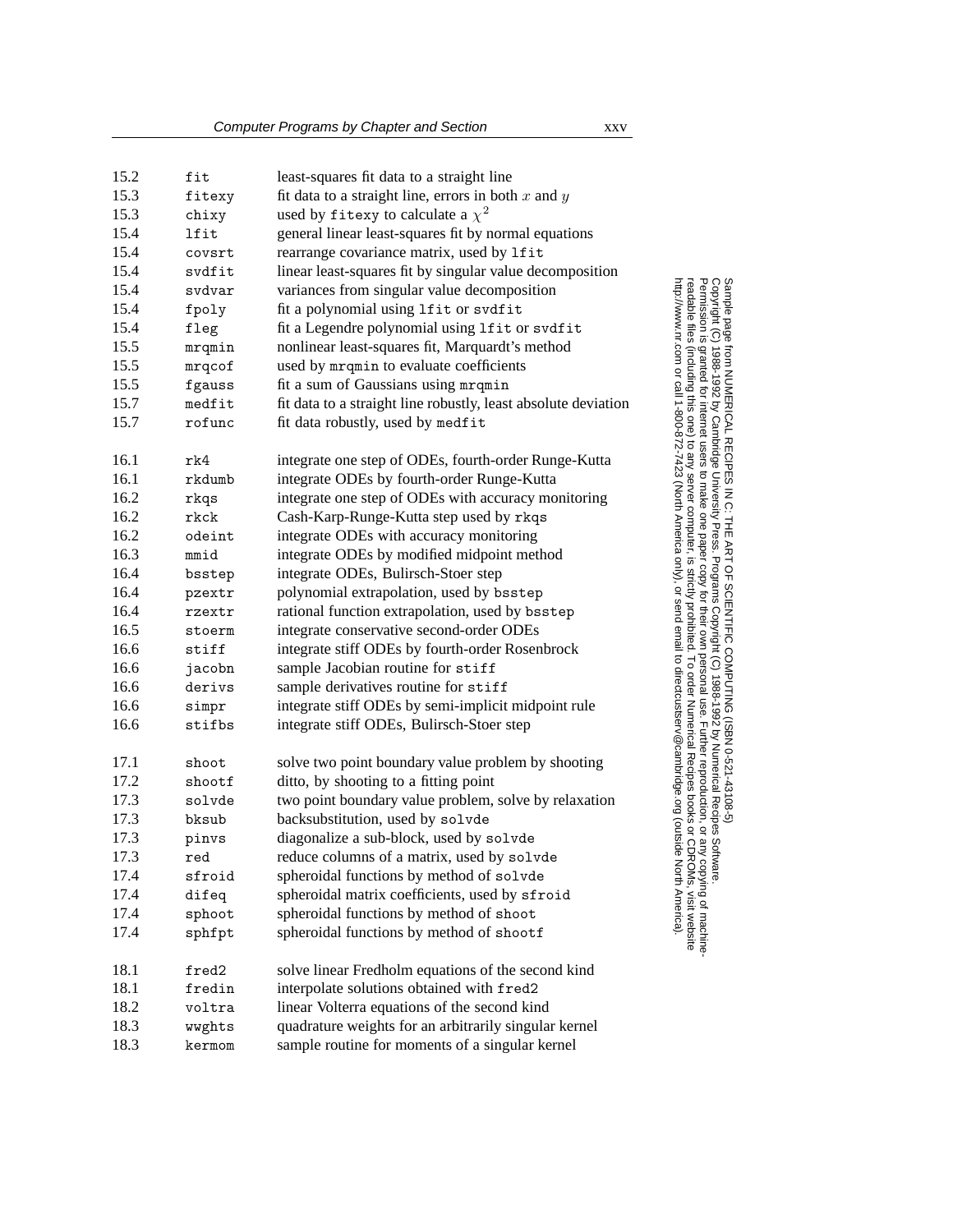| 15.2 | fit    | least-squares fit data to a straight line                      |
|------|--------|----------------------------------------------------------------|
| 15.3 | fitexy | fit data to a straight line, errors in both $x$ and $y$        |
| 15.3 | chixy  | used by fitexy to calculate a $\chi^2$                         |
| 15.4 | lfit   | general linear least-squares fit by normal equations           |
| 15.4 | covsrt | rearrange covariance matrix, used by 1fit                      |
| 15.4 | svdfit | linear least-squares fit by singular value decomposition       |
| 15.4 | svdvar | variances from singular value decomposition                    |
| 15.4 | fpoly  | fit a polynomial using lfit or svdfit                          |
| 15.4 | fleg   | fit a Legendre polynomial using lfit or svdfit                 |
| 15.5 | mrqmin | nonlinear least-squares fit, Marquardt's method                |
| 15.5 | mrqcof | used by mrqmin to evaluate coefficients                        |
| 15.5 | fgauss | fit a sum of Gaussians using mrqmin                            |
| 15.7 | medfit | fit data to a straight line robustly, least absolute deviation |
| 15.7 | rofunc | fit data robustly, used by medfit                              |
| 16.1 | rk4    | integrate one step of ODEs, fourth-order Runge-Kutta           |
| 16.1 | rkdumb | integrate ODEs by fourth-order Runge-Kutta                     |
| 16.2 | rkqs   | integrate one step of ODEs with accuracy monitoring            |
| 16.2 | rkck   | Cash-Karp-Runge-Kutta step used by rkqs                        |
| 16.2 | odeint | integrate ODEs with accuracy monitoring                        |
| 16.3 | mmid   | integrate ODEs by modified midpoint method                     |
| 16.4 | bsstep | integrate ODEs, Bulirsch-Stoer step                            |
| 16.4 | pzextr | polynomial extrapolation, used by bsstep                       |
| 16.4 | rzextr | rational function extrapolation, used by bsstep                |
| 16.5 | stoerm | integrate conservative second-order ODEs                       |
| 16.6 | stiff  | integrate stiff ODEs by fourth-order Rosenbrock                |
| 16.6 | jacobn | sample Jacobian routine for stiff                              |
| 16.6 | derivs | sample derivatives routine for stiff                           |
| 16.6 | simpr  | integrate stiff ODEs by semi-implicit midpoint rule            |
| 16.6 | stifbs | integrate stiff ODEs, Bulirsch-Stoer step                      |
| 17.1 | shoot  | solve two point boundary value problem by shooting             |
| 17.2 | shootf | ditto, by shooting to a fitting point                          |
| 17.3 | solvde | two point boundary value problem, solve by relaxation          |
| 17.3 | bksub  | backsubstitution, used by solvde                               |
| 17.3 | pinvs  | diagonalize a sub-block, used by solvde                        |
| 17.3 | red    | reduce columns of a matrix, used by solvde                     |
| 17.4 | sfroid | spheroidal functions by method of solvde                       |
| 17.4 | difeq  | spheroidal matrix coefficients, used by sfroid                 |
| 17.4 | sphoot | spheroidal functions by method of shoot                        |
| 17.4 | sphfpt | spheroidal functions by method of shootf                       |
| 18.1 | fred2  | solve linear Fredholm equations of the second kind             |
| 18.1 | fredin | interpolate solutions obtained with fred2                      |
| 18.2 | voltra | linear Volterra equations of the second kind                   |
| 18.3 | wwghts | quadrature weights for an arbitrarily singular kernel          |
| 18.3 | kermom | sample routine for moments of a singular kernel                |

computer, is strictly prohibited. To order Numerical Recipes books

or send email to directcustserv@cambridge.org (outside North America).

Sample page from NUMERICAL RECIPES IN C: THE ART OF SCIENTIFIC COMPUTING (ISBN 0-521-43108-5)

Programs Copyright (C) 1988-1992 by Numerical Recipes Software.

g of machine-

or CDROMs, visit website

Copyright (C) 1988-1992 by Cambridge University Press.

readable files (including this one) to any server